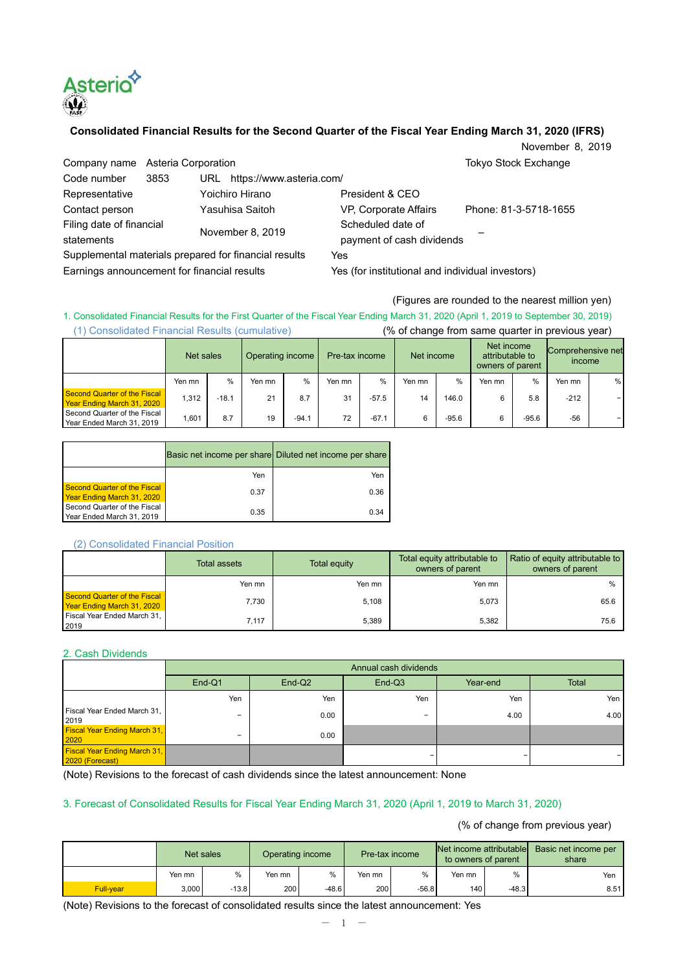

## **Consolidated Financial Results for the Second Quarter of the Fiscal Year Ending March 31, 2020 (IFRS)**

November 8, 2019

| Company name Asteria Corporation                      |      |                              |                                                  | <b>Tokyo Stock Exchange</b> |  |
|-------------------------------------------------------|------|------------------------------|--------------------------------------------------|-----------------------------|--|
| Code number                                           | 3853 | URL https://www.asteria.com/ |                                                  |                             |  |
| Representative                                        |      | Yoichiro Hirano              | President & CEO                                  |                             |  |
| Contact person                                        |      | Yasuhisa Saitoh              | VP, Corporate Affairs                            | Phone: 81-3-5718-1655       |  |
| Filing date of financial<br>statements                |      |                              | Scheduled date of                                |                             |  |
|                                                       |      | November 8, 2019             | payment of cash dividends                        |                             |  |
| Supplemental materials prepared for financial results |      |                              | Yes                                              |                             |  |
| Earnings announcement for financial results           |      |                              | Yes (for institutional and individual investors) |                             |  |

#### (Figures are rounded to the nearest million yen)

1. Consolidated Financial Results for the First Quarter of the Fiscal Year Ending March 31, 2020 (April 1, 2019 to September 30, 2019) (1) Consolidated Financial Results (cumulative) (% of change from same quarter in previous year)

|                                                            | Net sales |         | Operating income<br>Pre-tax income |         | Net income |               | Net income<br>attributable to<br>owners of parent |         | Comprehensive net<br>income |         |        |   |
|------------------------------------------------------------|-----------|---------|------------------------------------|---------|------------|---------------|---------------------------------------------------|---------|-----------------------------|---------|--------|---|
|                                                            | Yen mn    | %       | Yen mn                             | $\%$    | Yen mn     | $\frac{0}{0}$ | Yen mn                                            | $\%$    | Yen mn                      | $\%$    | Yen mn | % |
| Second Quarter of the Fiscal<br>Year Ending March 31, 2020 | 1.312     | $-18.1$ | 21                                 | 8.7     | 31         | $-57.5$       | 14                                                | 146.0   | 6                           | 5.8     | $-212$ |   |
| Second Quarter of the Fiscal<br>Year Ended March 31, 2019  | .601      | 8.7     | 19                                 | $-94.1$ | 72         | $-67.1$       | 6                                                 | $-95.6$ | 6                           | $-95.6$ | $-56$  |   |

|                                                            |      | Basic net income per share Diluted net income per share |
|------------------------------------------------------------|------|---------------------------------------------------------|
|                                                            | Yen  | Yen                                                     |
| Second Quarter of the Fiscal<br>Year Ending March 31, 2020 | 0.37 | 0.36                                                    |
| Second Quarter of the Fiscal<br>Year Ended March 31, 2019  | 0.35 | 0.34                                                    |

#### (2) Consolidated Financial Position

|                                                            | <b>Total assets</b> | Total equity | Total equity attributable to<br>owners of parent | Ratio of equity attributable to<br>owners of parent |
|------------------------------------------------------------|---------------------|--------------|--------------------------------------------------|-----------------------------------------------------|
|                                                            | Yen mn              | Yen mn       | Yen mn                                           | %                                                   |
| Second Quarter of the Fiscal<br>Year Ending March 31, 2020 | 7.730               | 5.108        | 5.073                                            | 65.6                                                |
| Fiscal Year Ended March 31,<br>2019                        | 7.117               | 5.389        | 5.382                                            | 75.6                                                |

#### 2. Cash Dividends

|                                                        | Annual cash dividends |                    |          |          |              |  |  |
|--------------------------------------------------------|-----------------------|--------------------|----------|----------|--------------|--|--|
|                                                        | $End-Q1$              | End-Q <sub>2</sub> | $End-Q3$ | Year-end | <b>Total</b> |  |  |
|                                                        | Yen                   | Yen                | Yen      | Yen      | Yen          |  |  |
| Fiscal Year Ended March 31,<br>2019                    | -                     | 0.00               | -        | 4.00     | 4.00         |  |  |
| <b>Fiscal Year Ending March 31,</b><br>2020            | -                     | 0.00               |          |          |              |  |  |
| <b>Fiscal Year Ending March 31,</b><br>2020 (Forecast) |                       |                    |          |          |              |  |  |

(Note) Revisions to the forecast of cash dividends since the latest announcement: None

## 3. Forecast of Consolidated Results for Fiscal Year Ending March 31, 2020 (April 1, 2019 to March 31, 2020)

(% of change from previous year)

|                  | Net sales |         | Operating income |         | Pre-tax income |         | Net income attributable<br>to owners of parent |         | Basic net income per<br>share |  |
|------------------|-----------|---------|------------------|---------|----------------|---------|------------------------------------------------|---------|-------------------------------|--|
|                  | Yen mn    | %       | Yen mn           | $\%$    | Yen mn         | $\%$    | Yen mn                                         | %       | Yen                           |  |
| <b>Full-vear</b> | 3.000     | $-13.8$ | 200              | $-48.6$ | 200            | $-56.8$ | 140                                            | $-48.3$ | 8.51                          |  |

(Note) Revisions to the forecast of consolidated results since the latest announcement: Yes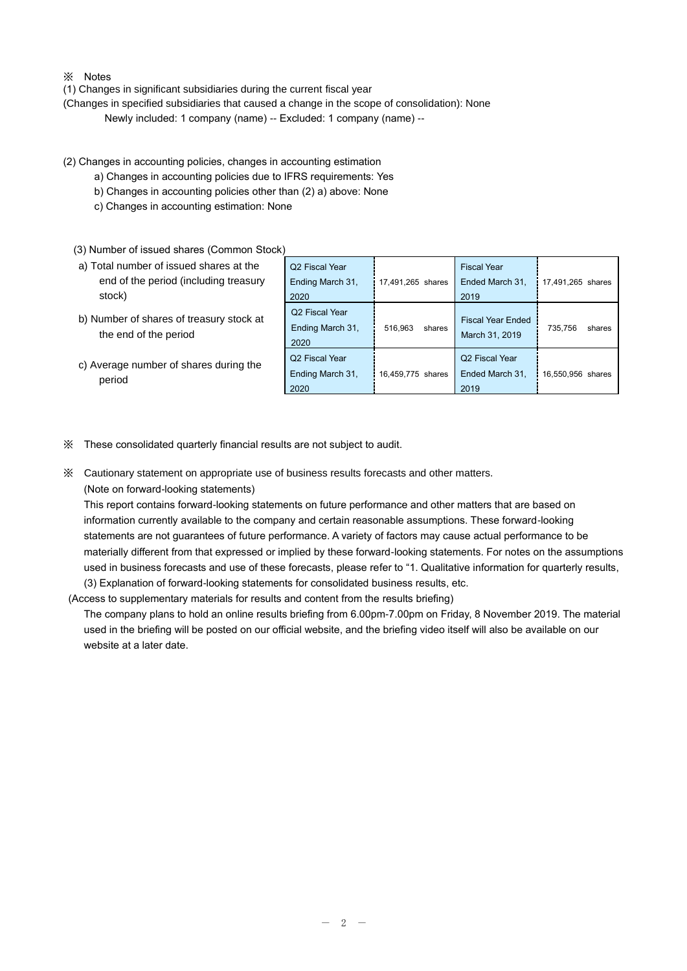- ※ Notes
- (1) Changes in significant subsidiaries during the current fiscal year
- (Changes in specified subsidiaries that caused a change in the scope of consolidation): None

Newly included: 1 company (name) -- Excluded: 1 company (name) --

- (2) Changes in accounting policies, changes in accounting estimation
	- a) Changes in accounting policies due to IFRS requirements: Yes
	- b) Changes in accounting policies other than (2) a) above: None
	- c) Changes in accounting estimation: None
	- (3) Number of issued shares (Common Stock)

| a) Total number of issued shares at the |  |
|-----------------------------------------|--|
| end of the period (including treasury   |  |
| stock)                                  |  |

- b) Number of shares of treasury stock at the end of the period
- c) Average number of shares during the period

| Q <sub>2</sub> Fiscal Year                             |                   | <b>Fiscal Year</b>                                    |                   |
|--------------------------------------------------------|-------------------|-------------------------------------------------------|-------------------|
| Ending March 31,                                       | 17,491,265 shares | Ended March 31,                                       | 17,491,265 shares |
| 2020                                                   |                   | 2019                                                  |                   |
| Q2 Fiscal Year<br>Ending March 31,<br>2020             | 516,963<br>shares | <b>Fiscal Year Ended</b><br>March 31, 2019            | 735,756<br>shares |
| Q <sub>2</sub> Fiscal Year<br>Ending March 31,<br>2020 | 16,459,775 shares | Q <sub>2</sub> Fiscal Year<br>Ended March 31,<br>2019 | 16,550,956 shares |

- ※ These consolidated quarterly financial results are not subject to audit.
- ※ Cautionary statement on appropriate use of business results forecasts and other matters.
	- (Note on forward-looking statements)

This report contains forward-looking statements on future performance and other matters that are based on information currently available to the company and certain reasonable assumptions. These forward-looking statements are not guarantees of future performance. A variety of factors may cause actual performance to be materially different from that expressed or implied by these forward-looking statements. For notes on the assumptions used in business forecasts and use of these forecasts, please refer to "1. Qualitative information for quarterly results, (3) Explanation of forward-looking statements for consolidated business results, etc.

(Access to supplementary materials for results and content from the results briefing)

The company plans to hold an online results briefing from 6.00pm-7.00pm on Friday, 8 November 2019. The material used in the briefing will be posted on our official website, and the briefing video itself will also be available on our website at a later date.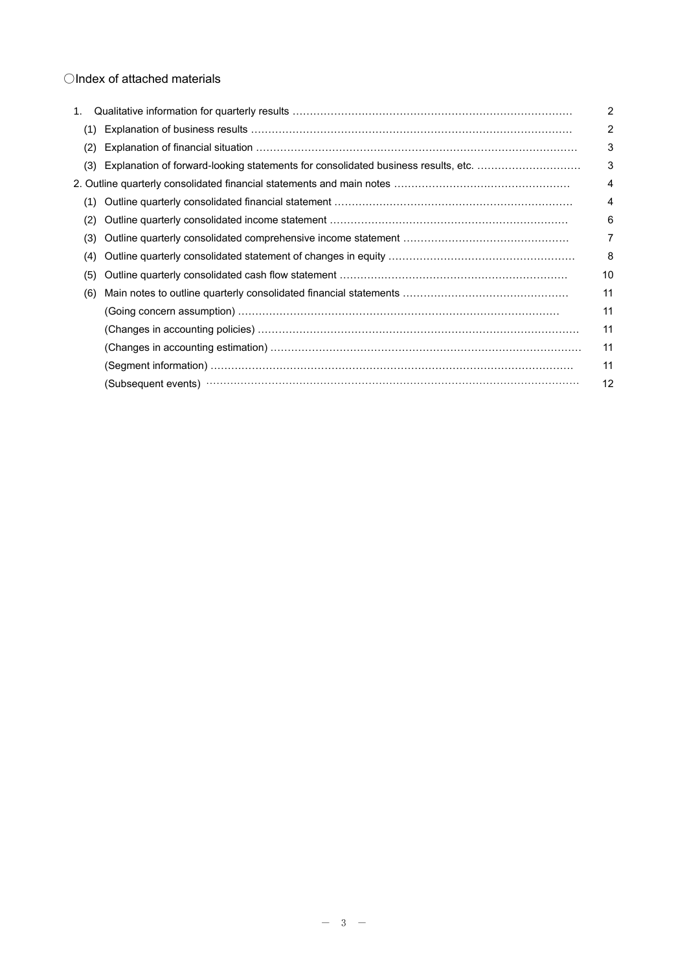## ○Index of attached materials

| 1. |     |                                                                                                                                                                                                                                | 2  |
|----|-----|--------------------------------------------------------------------------------------------------------------------------------------------------------------------------------------------------------------------------------|----|
|    | (1) |                                                                                                                                                                                                                                | 2  |
|    | (2) |                                                                                                                                                                                                                                | 3  |
|    | (3) | Explanation of forward-looking statements for consolidated business results, etc.                                                                                                                                              | 3  |
|    |     |                                                                                                                                                                                                                                | 4  |
|    | (1) |                                                                                                                                                                                                                                | 4  |
|    | (2) |                                                                                                                                                                                                                                | 6  |
|    | (3) |                                                                                                                                                                                                                                | 7  |
|    | (4) |                                                                                                                                                                                                                                | 8  |
|    | (5) |                                                                                                                                                                                                                                | 10 |
|    | (6) |                                                                                                                                                                                                                                | 11 |
|    |     | (Going concern assumption) ………………………………………………………………………………                                                                                                                                                                      | 11 |
|    |     |                                                                                                                                                                                                                                | 11 |
|    |     |                                                                                                                                                                                                                                | 11 |
|    |     |                                                                                                                                                                                                                                | 11 |
|    |     | (Subsequent events) manufactured and control of the set of the set of the set of the set of the set of the set of the set of the set of the set of the set of the set of the set of the set of the set of the set of the set o | 12 |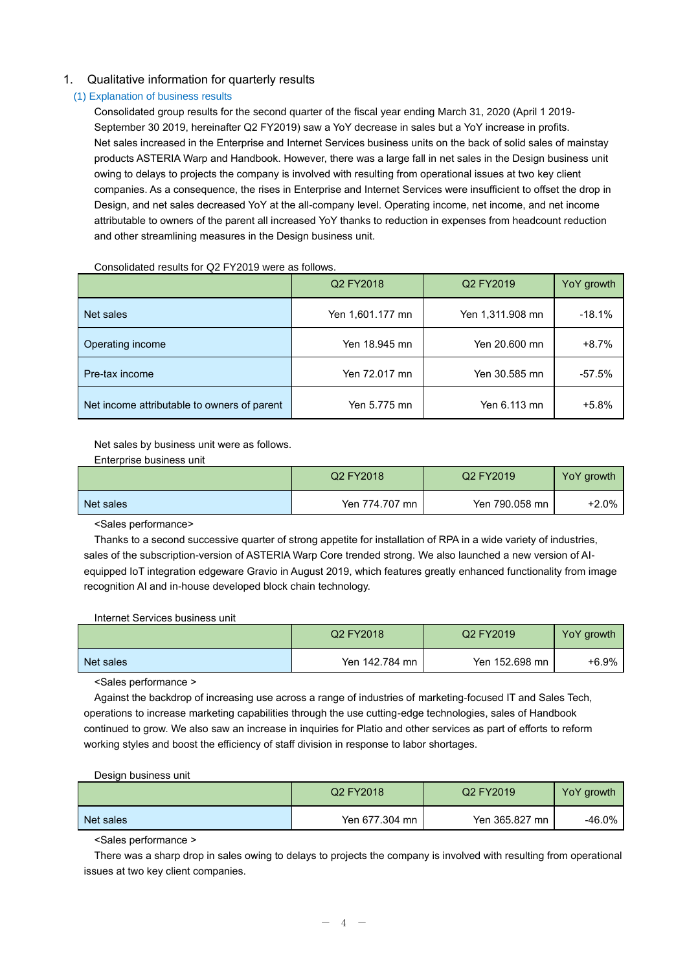## 1. Qualitative information for quarterly results

### (1) Explanation of business results

Consolidated group results for the second quarter of the fiscal year ending March 31, 2020 (April 1 2019- September 30 2019, hereinafter Q2 FY2019) saw a YoY decrease in sales but a YoY increase in profits. Net sales increased in the Enterprise and Internet Services business units on the back of solid sales of mainstay products ASTERIA Warp and Handbook. However, there was a large fall in net sales in the Design business unit owing to delays to projects the company is involved with resulting from operational issues at two key client companies. As a consequence, the rises in Enterprise and Internet Services were insufficient to offset the drop in Design, and net sales decreased YoY at the all-company level. Operating income, net income, and net income attributable to owners of the parent all increased YoY thanks to reduction in expenses from headcount reduction and other streamlining measures in the Design business unit.

Consolidated results for Q2 FY2019 were as follows.

|                                             | Q2 FY2018        | Q <sub>2</sub> FY <sub>2019</sub> | YoY growth |
|---------------------------------------------|------------------|-----------------------------------|------------|
| Net sales                                   | Yen 1,601.177 mn | Yen 1,311.908 mn                  | $-18.1%$   |
| Operating income                            | Yen 18.945 mn    | Yen 20,600 mn                     | $+8.7%$    |
| Pre-tax income                              | Yen 72.017 mn    | Yen 30.585 mn                     | $-57.5%$   |
| Net income attributable to owners of parent | Yen 5.775 mn     | Yen 6.113 mn                      | +5.8%      |

Net sales by business unit were as follows.

Enterprise business unit

|           | Q2 FY2018      | Q <sub>2</sub> FY <sub>2019</sub> | YoY growth |
|-----------|----------------|-----------------------------------|------------|
| Net sales | Yen 774.707 mn | Yen 790.058 mn                    | $+2.0\%$   |

<Sales performance>

Thanks to a second successive quarter of strong appetite for installation of RPA in a wide variety of industries, sales of the subscription-version of ASTERIA Warp Core trended strong. We also launched a new version of AIequipped IoT integration edgeware Gravio in August 2019, which features greatly enhanced functionality from image recognition AI and in-house developed block chain technology.

Internet Services business unit

|           | Q2 FY2018      | Q <sub>2</sub> FY <sub>2019</sub> | YoY growth |
|-----------|----------------|-----------------------------------|------------|
| Net sales | Yen 142.784 mn | Yen 152.698 mn                    | +6.9%      |

<Sales performance >

Against the backdrop of increasing use across a range of industries of marketing-focused IT and Sales Tech, operations to increase marketing capabilities through the use cutting-edge technologies, sales of Handbook continued to grow. We also saw an increase in inquiries for Platio and other services as part of efforts to reform working styles and boost the efficiency of staff division in response to labor shortages.

Design business unit

|           | Q2 FY2018      | Q2 FY2019      | YoY growth |
|-----------|----------------|----------------|------------|
| Net sales | Yen 677.304 mn | Yen 365.827 mn | -46.0%     |

<Sales performance >

There was a sharp drop in sales owing to delays to projects the company is involved with resulting from operational issues at two key client companies.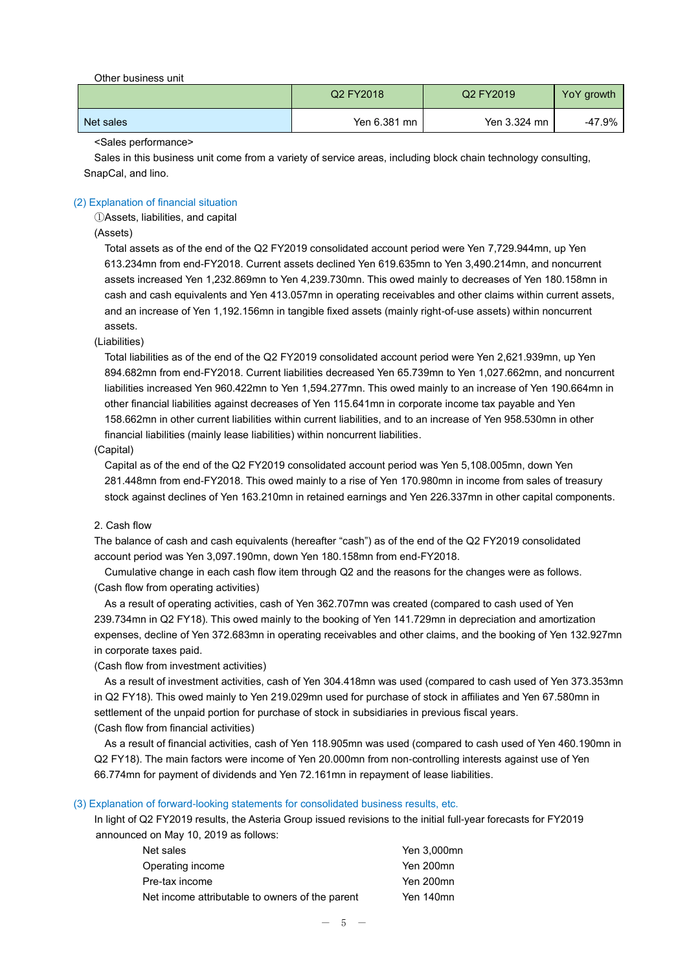Other business unit

|           | Q2 FY2018    | Q2 FY2019    | YoY growth |
|-----------|--------------|--------------|------------|
| Net sales | Yen 6.381 mn | Yen 3.324 mn | -47.9%     |

<Sales performance>

Sales in this business unit come from a variety of service areas, including block chain technology consulting, SnapCal, and lino.

## (2) Explanation of financial situation

①Assets, liabilities, and capital

## (Assets)

Total assets as of the end of the Q2 FY2019 consolidated account period were Yen 7,729.944mn, up Yen 613.234mn from end-FY2018. Current assets declined Yen 619.635mn to Yen 3,490.214mn, and noncurrent assets increased Yen 1,232.869mn to Yen 4,239.730mn. This owed mainly to decreases of Yen 180.158mn in cash and cash equivalents and Yen 413.057mn in operating receivables and other claims within current assets, and an increase of Yen 1,192.156mn in tangible fixed assets (mainly right-of-use assets) within noncurrent assets.

#### (Liabilities)

Total liabilities as of the end of the Q2 FY2019 consolidated account period were Yen 2,621.939mn, up Yen 894.682mn from end-FY2018. Current liabilities decreased Yen 65.739mn to Yen 1,027.662mn, and noncurrent liabilities increased Yen 960.422mn to Yen 1,594.277mn. This owed mainly to an increase of Yen 190.664mn in other financial liabilities against decreases of Yen 115.641mn in corporate income tax payable and Yen 158.662mn in other current liabilities within current liabilities, and to an increase of Yen 958.530mn in other financial liabilities (mainly lease liabilities) within noncurrent liabilities.

#### (Capital)

Capital as of the end of the Q2 FY2019 consolidated account period was Yen 5,108.005mn, down Yen 281.448mn from end-FY2018. This owed mainly to a rise of Yen 170.980mn in income from sales of treasury stock against declines of Yen 163.210mn in retained earnings and Yen 226.337mn in other capital components.

#### 2. Cash flow

The balance of cash and cash equivalents (hereafter "cash") as of the end of the Q2 FY2019 consolidated account period was Yen 3,097.190mn, down Yen 180.158mn from end-FY2018.

Cumulative change in each cash flow item through Q2 and the reasons for the changes were as follows. (Cash flow from operating activities)

As a result of operating activities, cash of Yen 362.707mn was created (compared to cash used of Yen 239.734mn in Q2 FY18). This owed mainly to the booking of Yen 141.729mn in depreciation and amortization expenses, decline of Yen 372.683mn in operating receivables and other claims, and the booking of Yen 132.927mn in corporate taxes paid.

(Cash flow from investment activities)

As a result of investment activities, cash of Yen 304.418mn was used (compared to cash used of Yen 373.353mn in Q2 FY18). This owed mainly to Yen 219.029mn used for purchase of stock in affiliates and Yen 67.580mn in settlement of the unpaid portion for purchase of stock in subsidiaries in previous fiscal years. (Cash flow from financial activities)

As a result of financial activities, cash of Yen 118.905mn was used (compared to cash used of Yen 460.190mn in Q2 FY18). The main factors were income of Yen 20.000mn from non-controlling interests against use of Yen 66.774mn for payment of dividends and Yen 72.161mn in repayment of lease liabilities.

#### (3) Explanation of forward-looking statements for consolidated business results, etc.

In light of Q2 FY2019 results, the Asteria Group issued revisions to the initial full-year forecasts for FY2019 announced on May 10, 2019 as follows:

| Net sales                                       | Yen 3,000mn |
|-------------------------------------------------|-------------|
| Operating income                                | Yen 200mn   |
| Pre-tax income                                  | Yen 200mn   |
| Net income attributable to owners of the parent | Yen 140mn   |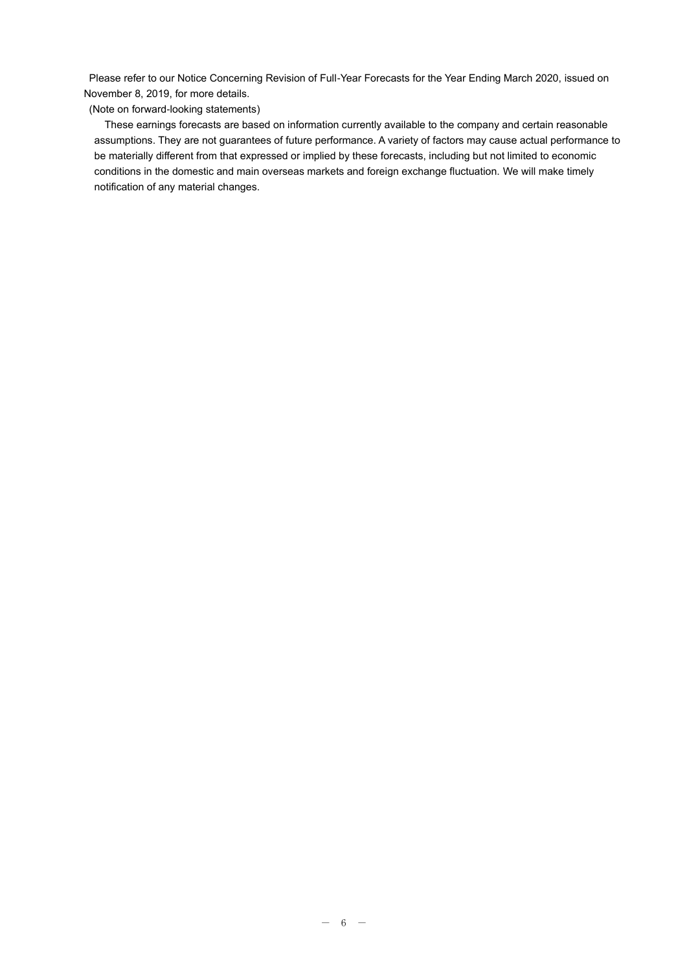Please refer to our Notice Concerning Revision of Full-Year Forecasts for the Year Ending March 2020, issued on November 8, 2019, for more details.

(Note on forward-looking statements)

These earnings forecasts are based on information currently available to the company and certain reasonable assumptions. They are not guarantees of future performance. A variety of factors may cause actual performance to be materially different from that expressed or implied by these forecasts, including but not limited to economic conditions in the domestic and main overseas markets and foreign exchange fluctuation. We will make timely notification of any material changes.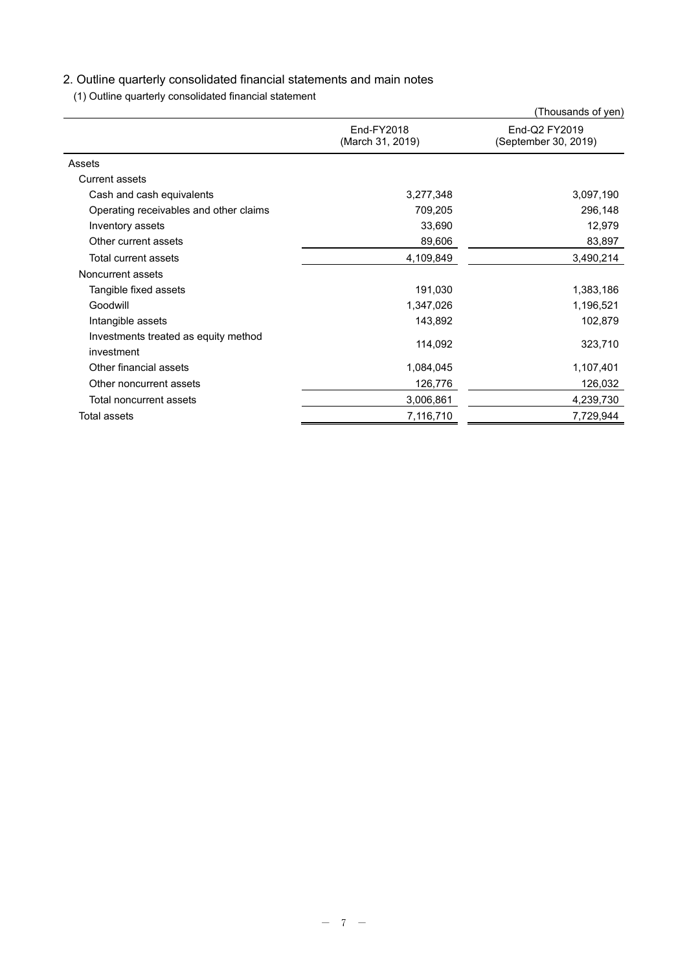# 2. Outline quarterly consolidated financial statements and main notes

(1) Outline quarterly consolidated financial statement

|                                                    |                                | (Thousands of yen)                    |  |
|----------------------------------------------------|--------------------------------|---------------------------------------|--|
|                                                    | End-FY2018<br>(March 31, 2019) | End-Q2 FY2019<br>(September 30, 2019) |  |
| Assets                                             |                                |                                       |  |
| <b>Current assets</b>                              |                                |                                       |  |
| Cash and cash equivalents                          | 3,277,348                      | 3,097,190                             |  |
| Operating receivables and other claims             | 709,205                        | 296,148                               |  |
| Inventory assets                                   | 33,690                         | 12,979                                |  |
| Other current assets                               | 89,606                         | 83,897                                |  |
| Total current assets                               | 4,109,849                      | 3,490,214                             |  |
| Noncurrent assets                                  |                                |                                       |  |
| Tangible fixed assets                              | 191,030                        | 1,383,186                             |  |
| Goodwill                                           | 1,347,026                      | 1,196,521                             |  |
| Intangible assets                                  | 143,892                        | 102,879                               |  |
| Investments treated as equity method<br>investment | 114,092                        | 323,710                               |  |
| Other financial assets                             | 1,084,045                      | 1,107,401                             |  |
| Other noncurrent assets                            | 126,776                        | 126,032                               |  |
| Total noncurrent assets                            | 3,006,861                      | 4,239,730                             |  |
| Total assets                                       | 7,116,710                      | 7,729,944                             |  |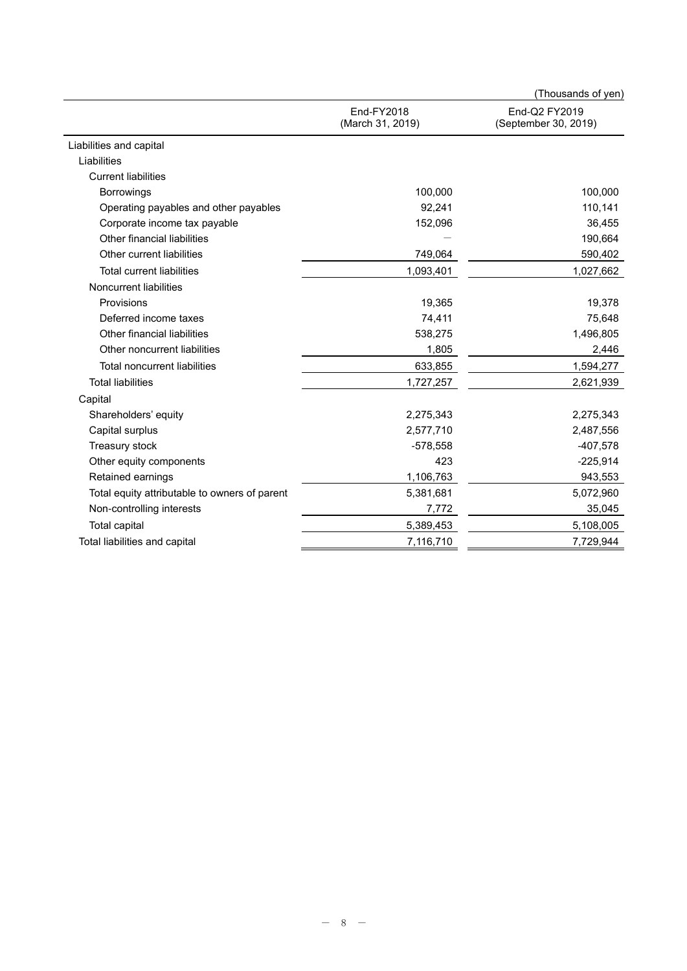|                                               |                                | (Thousands of yen)                    |
|-----------------------------------------------|--------------------------------|---------------------------------------|
|                                               | End-FY2018<br>(March 31, 2019) | End-Q2 FY2019<br>(September 30, 2019) |
| Liabilities and capital                       |                                |                                       |
| Liabilities                                   |                                |                                       |
| <b>Current liabilities</b>                    |                                |                                       |
| <b>Borrowings</b>                             | 100,000                        | 100,000                               |
| Operating payables and other payables         | 92,241                         | 110,141                               |
| Corporate income tax payable                  | 152,096                        | 36,455                                |
| Other financial liabilities                   |                                | 190,664                               |
| Other current liabilities                     | 749,064                        | 590,402                               |
| <b>Total current liabilities</b>              | 1,093,401                      | 1,027,662                             |
| Noncurrent liabilities                        |                                |                                       |
| Provisions                                    | 19,365                         | 19,378                                |
| Deferred income taxes                         | 74,411                         | 75,648                                |
| Other financial liabilities                   | 538,275                        | 1,496,805                             |
| Other noncurrent liabilities                  | 1,805                          | 2,446                                 |
| Total noncurrent liabilities                  | 633,855                        | 1,594,277                             |
| <b>Total liabilities</b>                      | 1,727,257                      | 2,621,939                             |
| Capital                                       |                                |                                       |
| Shareholders' equity                          | 2,275,343                      | 2,275,343                             |
| Capital surplus                               | 2,577,710                      | 2,487,556                             |
| Treasury stock                                | $-578,558$                     | $-407,578$                            |
| Other equity components                       | 423                            | $-225,914$                            |
| Retained earnings                             | 1,106,763                      | 943,553                               |
| Total equity attributable to owners of parent | 5,381,681                      | 5,072,960                             |
| Non-controlling interests                     | 7,772                          | 35,045                                |
| <b>Total capital</b>                          | 5,389,453                      | 5,108,005                             |
| Total liabilities and capital                 | 7,116,710                      | 7,729,944                             |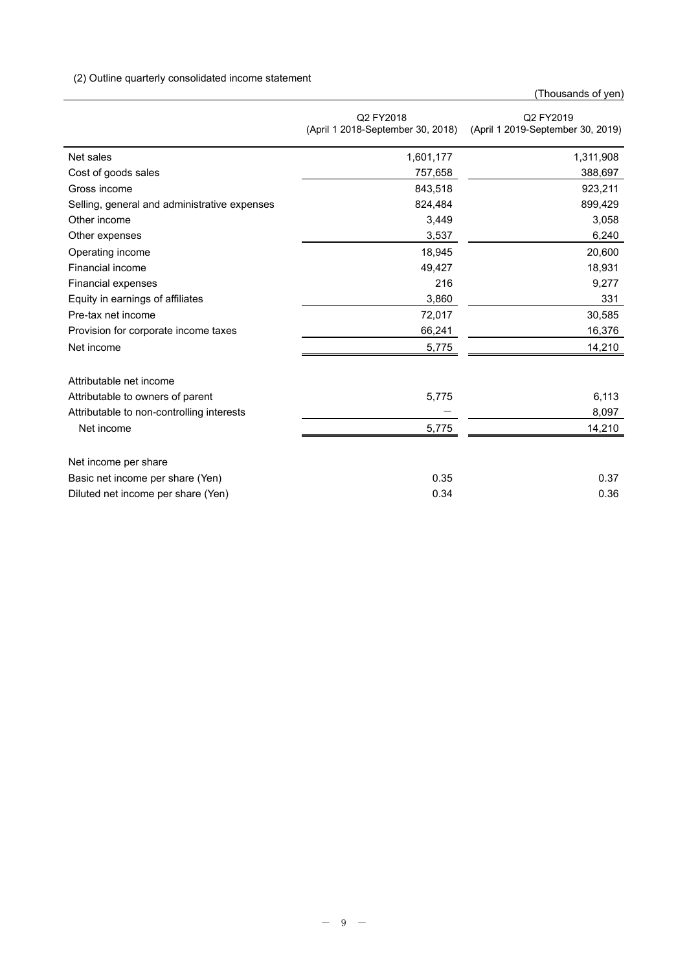# (2) Outline quarterly consolidated income statement

(Thousands of yen)

|                                              | Q2 FY2018<br>(April 1 2018-September 30, 2018) | Q2 FY2019<br>(April 1 2019-September 30, 2019) |
|----------------------------------------------|------------------------------------------------|------------------------------------------------|
| Net sales                                    | 1,601,177                                      | 1,311,908                                      |
| Cost of goods sales                          | 757,658                                        | 388,697                                        |
| Gross income                                 | 843,518                                        | 923,211                                        |
| Selling, general and administrative expenses | 824,484                                        | 899,429                                        |
| Other income                                 | 3,449                                          | 3,058                                          |
| Other expenses                               | 3,537                                          | 6,240                                          |
| Operating income                             | 18,945                                         | 20,600                                         |
| Financial income                             | 49,427                                         | 18,931                                         |
| Financial expenses                           | 216                                            | 9,277                                          |
| Equity in earnings of affiliates             | 3,860                                          | 331                                            |
| Pre-tax net income                           | 72,017                                         | 30,585                                         |
| Provision for corporate income taxes         | 66,241                                         | 16,376                                         |
| Net income                                   | 5,775                                          | 14,210                                         |
| Attributable net income                      |                                                |                                                |
| Attributable to owners of parent             | 5,775                                          | 6,113                                          |
| Attributable to non-controlling interests    |                                                | 8,097                                          |
| Net income                                   | 5,775                                          | 14,210                                         |
| Net income per share                         |                                                |                                                |
| Basic net income per share (Yen)             | 0.35                                           | 0.37                                           |
| Diluted net income per share (Yen)           | 0.34                                           | 0.36                                           |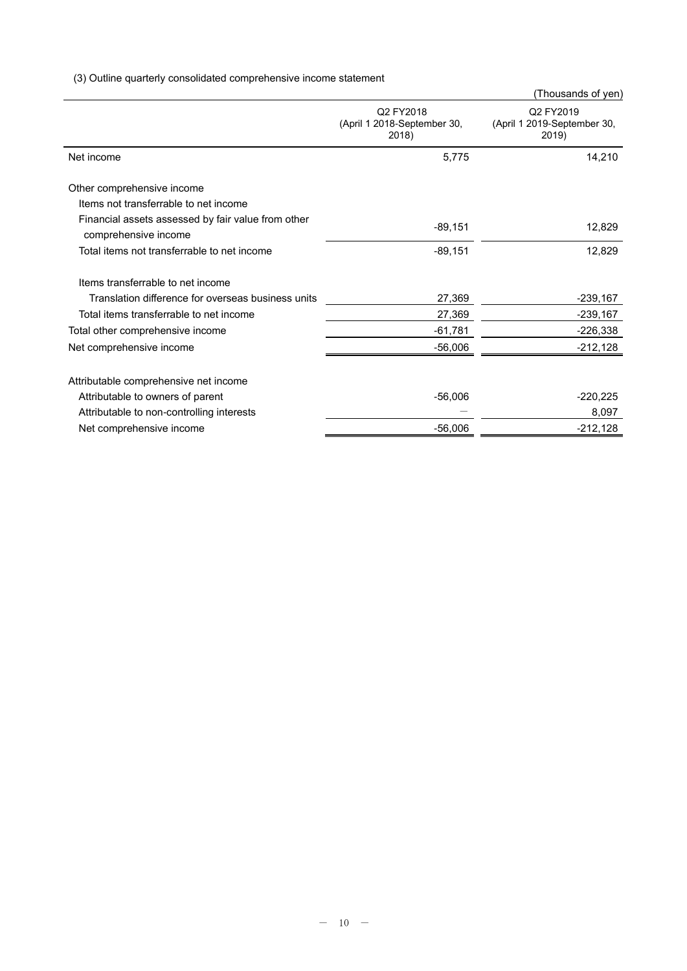(3) Outline quarterly consolidated comprehensive income statement

|                                                                            |                                                   | (Thousands of yen)                                |
|----------------------------------------------------------------------------|---------------------------------------------------|---------------------------------------------------|
|                                                                            | Q2 FY2018<br>(April 1 2018-September 30,<br>2018) | Q2 FY2019<br>(April 1 2019-September 30,<br>2019) |
| Net income                                                                 | 5,775                                             | 14,210                                            |
| Other comprehensive income                                                 |                                                   |                                                   |
| Items not transferrable to net income                                      |                                                   |                                                   |
| Financial assets assessed by fair value from other<br>comprehensive income | $-89,151$                                         | 12,829                                            |
| Total items not transferrable to net income                                | $-89,151$                                         | 12,829                                            |
| Items transferrable to net income                                          |                                                   |                                                   |
| Translation difference for overseas business units                         | 27,369                                            | -239,167                                          |
| Total items transferrable to net income                                    | 27,369                                            | $-239,167$                                        |
| Total other comprehensive income                                           | $-61,781$                                         | $-226,338$                                        |
| Net comprehensive income                                                   | $-56,006$                                         | $-212,128$                                        |
| Attributable comprehensive net income                                      |                                                   |                                                   |
| Attributable to owners of parent                                           | $-56,006$                                         | $-220,225$                                        |
| Attributable to non-controlling interests                                  |                                                   | 8,097                                             |
| Net comprehensive income                                                   | $-56,006$                                         | $-212,128$                                        |
|                                                                            |                                                   |                                                   |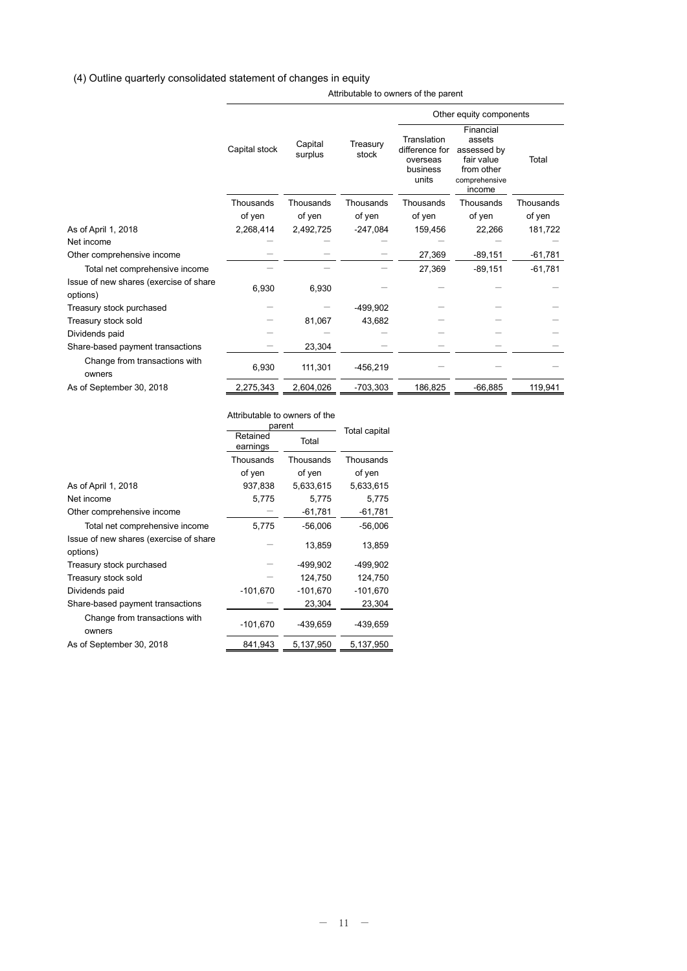### (4) Outline quarterly consolidated statement of changes in equity

Attributable to owners of the parent

|                                                    |               |                    |                   | Other equity components                                        |                                                                                           |           |
|----------------------------------------------------|---------------|--------------------|-------------------|----------------------------------------------------------------|-------------------------------------------------------------------------------------------|-----------|
|                                                    | Capital stock | Capital<br>surplus | Treasury<br>stock | Translation<br>difference for<br>overseas<br>business<br>units | Financial<br>assets<br>assessed by<br>fair value<br>from other<br>comprehensive<br>income | Total     |
|                                                    | Thousands     | Thousands          | Thousands         | Thousands                                                      | Thousands                                                                                 | Thousands |
|                                                    | of yen        | of yen             | of yen            | of yen                                                         | of yen                                                                                    | of yen    |
| As of April 1, 2018                                | 2,268,414     | 2,492,725          | $-247,084$        | 159,456                                                        | 22,266                                                                                    | 181,722   |
| Net income                                         |               |                    |                   |                                                                |                                                                                           |           |
| Other comprehensive income                         |               |                    |                   | 27,369                                                         | $-89,151$                                                                                 | $-61,781$ |
| Total net comprehensive income                     |               |                    |                   | 27,369                                                         | $-89,151$                                                                                 | $-61,781$ |
| Issue of new shares (exercise of share<br>options) | 6,930         | 6,930              |                   |                                                                |                                                                                           |           |
| Treasury stock purchased                           |               |                    | $-499,902$        |                                                                |                                                                                           |           |
| Treasury stock sold                                |               | 81,067             | 43,682            |                                                                |                                                                                           |           |
| Dividends paid                                     |               |                    |                   |                                                                |                                                                                           |           |
| Share-based payment transactions                   |               | 23,304             |                   |                                                                |                                                                                           |           |
| Change from transactions with<br>owners            | 6,930         | 111,301            | $-456,219$        |                                                                |                                                                                           |           |
| As of September 30, 2018                           | 2,275,343     | 2.604.026          | $-703.303$        | 186,825                                                        | $-66.885$                                                                                 | 119,941   |

Attributable to owners of the parent<br>
Retained Total Total<br>
Total earnings Thousands of yen Thousands of yen Thousands of yen As of April 1, 2018 **As of April 1, 2018 As of April 1, 2018 6,633,615 5,633,615** Net income 5,775 5,775 5,775 Other comprehensive income  $-$  -61,781  $-$  -61,781 Total net comprehensive income  $5,775$  -56,006 -56,006 Issue of new shares (exercise of share options)  $-$  13,859 13,859 Treasury stock purchased  $-$ 499,902  $-$ 499,902 Treasury stock sold  $-$  124,750 124,750 Dividends paid -101,670 -101,670 -101,670 Share-based payment transactions  $\frac{\qquad \qquad - \qquad \qquad 23,304}{\qquad \qquad 23,304}$ Change from transactions with owners -101,670 -439,659 -439,659 As of September 30, 2018 841,943 5,137,950 5,137,950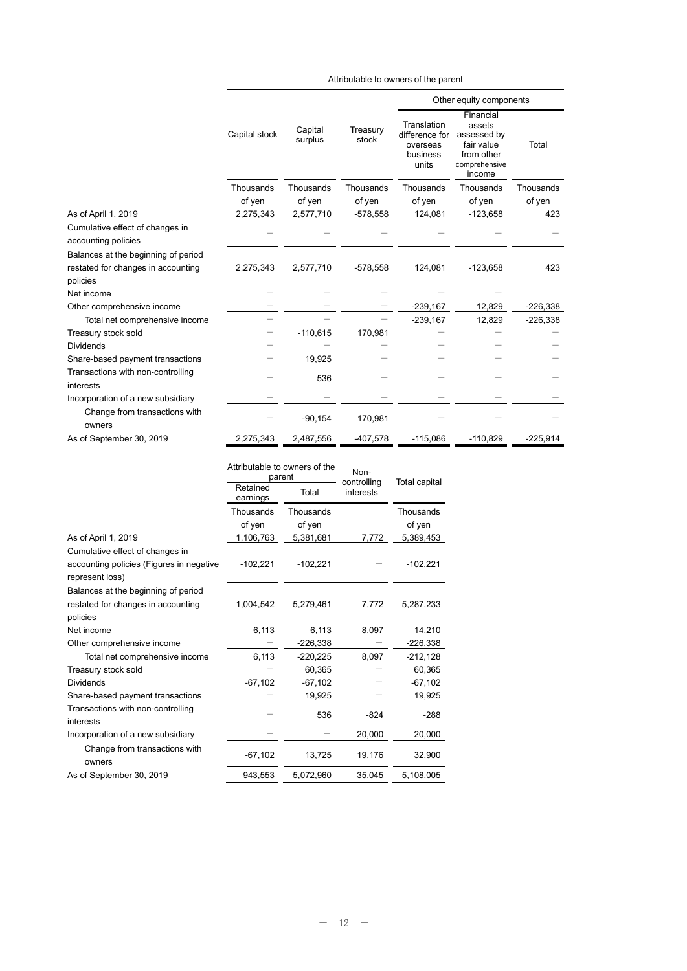|                                                                                       |               |                    |                   | Other equity components                                        |                                                                                           |            |  |
|---------------------------------------------------------------------------------------|---------------|--------------------|-------------------|----------------------------------------------------------------|-------------------------------------------------------------------------------------------|------------|--|
|                                                                                       | Capital stock | Capital<br>surplus | Treasury<br>stock | Translation<br>difference for<br>overseas<br>business<br>units | Financial<br>assets<br>assessed by<br>fair value<br>from other<br>comprehensive<br>income | Total      |  |
|                                                                                       | Thousands     | Thousands          | Thousands         | Thousands                                                      | Thousands                                                                                 | Thousands  |  |
|                                                                                       | of yen        | of yen             | of yen            | of yen                                                         | of yen                                                                                    | of yen     |  |
| As of April 1, 2019                                                                   | 2,275,343     | 2,577,710          | -578,558          | 124,081                                                        | $-123,658$                                                                                | 423        |  |
| Cumulative effect of changes in<br>accounting policies                                |               |                    |                   |                                                                |                                                                                           |            |  |
| Balances at the beginning of period<br>restated for changes in accounting<br>policies | 2,275,343     | 2,577,710          | $-578,558$        | 124,081                                                        | $-123,658$                                                                                | 423        |  |
| Net income                                                                            |               |                    |                   |                                                                |                                                                                           |            |  |
| Other comprehensive income                                                            |               |                    |                   | $-239,167$                                                     | 12,829                                                                                    | $-226,338$ |  |
| Total net comprehensive income                                                        |               |                    |                   | $-239,167$                                                     | 12,829                                                                                    | $-226,338$ |  |
| Treasury stock sold                                                                   |               | $-110,615$         | 170,981           |                                                                |                                                                                           |            |  |
| <b>Dividends</b>                                                                      |               |                    |                   |                                                                |                                                                                           |            |  |
| Share-based payment transactions                                                      |               | 19,925             |                   |                                                                |                                                                                           |            |  |
| Transactions with non-controlling<br>interests                                        |               | 536                |                   |                                                                |                                                                                           |            |  |
| Incorporation of a new subsidiary                                                     |               |                    |                   |                                                                |                                                                                           |            |  |
| Change from transactions with<br>owners                                               |               | $-90,154$          | 170,981           |                                                                |                                                                                           |            |  |
| As of September 30, 2019                                                              | 2,275,343     | 2,487,556          | -407,578          | $-115,086$                                                     | $-110,829$                                                                                | $-225,914$ |  |

Attributable to owners of the parent

|                                          |                      | Attributable to owners of the<br>parent | Non-<br>controlling | Total capital |  |
|------------------------------------------|----------------------|-----------------------------------------|---------------------|---------------|--|
|                                          | Retained<br>earnings | Total                                   | interests           |               |  |
|                                          | Thousands            | Thousands                               |                     | Thousands     |  |
|                                          | of yen               | of yen                                  |                     | of yen        |  |
| As of April 1, 2019                      | 1,106,763            | 5,381,681                               | 7,772               | 5,389,453     |  |
| Cumulative effect of changes in          |                      |                                         |                     |               |  |
| accounting policies (Figures in negative | $-102,221$           | $-102,221$                              |                     | $-102,221$    |  |
| represent loss)                          |                      |                                         |                     |               |  |
| Balances at the beginning of period      |                      |                                         |                     |               |  |
| restated for changes in accounting       | 1,004,542            | 5,279,461                               | 7,772               | 5,287,233     |  |
| policies                                 |                      |                                         |                     |               |  |
| Net income                               | 6,113                | 6,113                                   | 8,097               | 14,210        |  |
| Other comprehensive income               |                      | $-226,338$                              |                     | $-226,338$    |  |
| Total net comprehensive income           | 6,113                | $-220,225$                              | 8,097               | $-212,128$    |  |
| Treasury stock sold                      |                      | 60,365                                  |                     | 60,365        |  |
| <b>Dividends</b>                         | $-67,102$            | $-67,102$                               |                     | $-67,102$     |  |
| Share-based payment transactions         |                      | 19,925                                  |                     | 19,925        |  |
| Transactions with non-controlling        |                      | 536                                     | $-824$              | $-288$        |  |
| interests                                |                      |                                         |                     |               |  |
| Incorporation of a new subsidiary        |                      |                                         | 20,000              | 20,000        |  |
| Change from transactions with<br>owners  | $-67,102$            | 13,725                                  | 19,176              | 32,900        |  |
| As of September 30, 2019                 | 943,553              | 5,072,960                               | 35,045              | 5,108,005     |  |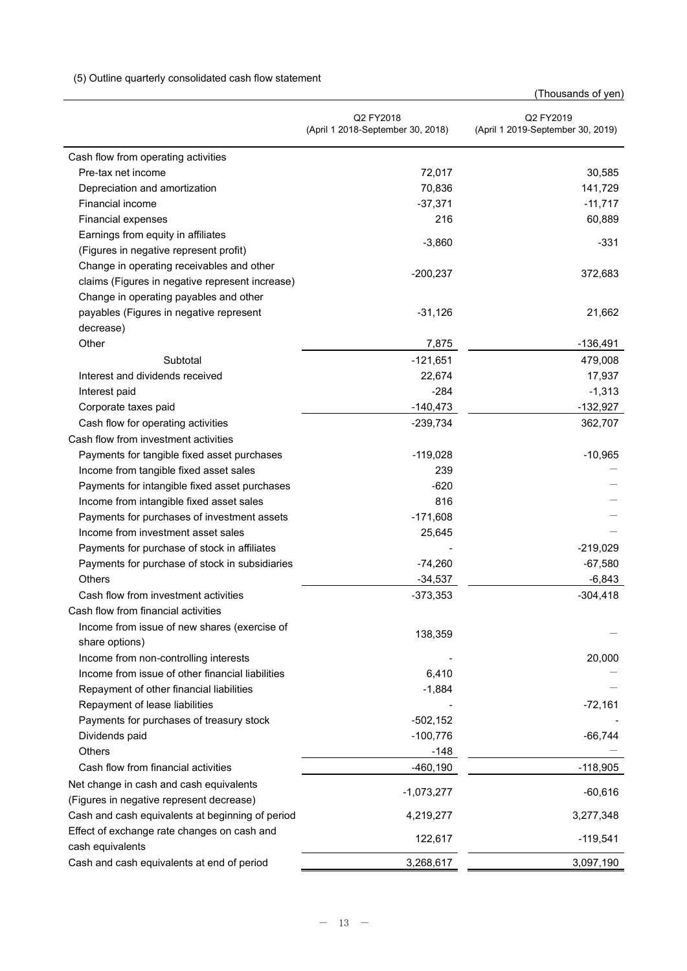# (5) Outline quarterly consolidated cash flow statement

|                                                  | Q2 FY2018<br>(April 1 2018-September 30, 2018) | Q2 FY2019<br>(April 1 2019-September 30, 2019) |
|--------------------------------------------------|------------------------------------------------|------------------------------------------------|
| Cash flow from operating activities              |                                                |                                                |
| Pre-tax net income                               | 72,017                                         | 30,585                                         |
| Depreciation and amortization                    | 70,836                                         | 141,729                                        |
| Financial income                                 | $-37,371$                                      | $-11,717$                                      |
| Financial expenses                               | 216                                            | 60,889                                         |
| Earnings from equity in affiliates               |                                                |                                                |
| (Figures in negative represent profit)           | $-3,860$                                       | $-331$                                         |
| Change in operating receivables and other        |                                                |                                                |
| claims (Figures in negative represent increase)  | $-200,237$                                     | 372,683                                        |
| Change in operating payables and other           |                                                |                                                |
| payables (Figures in negative represent          | $-31,126$                                      | 21,662                                         |
| decrease)                                        |                                                |                                                |
| Other                                            | 7,875                                          | $-136,491$                                     |
| Subtotal                                         | $-121,651$                                     | 479,008                                        |
| Interest and dividends received                  | 22,674                                         | 17,937                                         |
| Interest paid                                    | $-284$                                         | $-1,313$                                       |
| Corporate taxes paid                             | $-140,473$                                     | $-132,927$                                     |
| Cash flow for operating activities               | $-239,734$                                     | 362,707                                        |
| Cash flow from investment activities             |                                                |                                                |
| Payments for tangible fixed asset purchases      | $-119,028$                                     | $-10,965$                                      |
| Income from tangible fixed asset sales           | 239                                            |                                                |
| Payments for intangible fixed asset purchases    | $-620$                                         |                                                |
| Income from intangible fixed asset sales         | 816                                            |                                                |
| Payments for purchases of investment assets      | $-171,608$                                     |                                                |
| Income from investment asset sales               | 25,645                                         |                                                |
| Payments for purchase of stock in affiliates     |                                                | $-219,029$                                     |
| Payments for purchase of stock in subsidiaries   | $-74,260$                                      | $-67,580$                                      |
| <b>Others</b>                                    | $-34,537$                                      | $-6,843$                                       |
| Cash flow from investment activities             | $-373,353$                                     | $-304,418$                                     |
| Cash flow from financial activities              |                                                |                                                |
| Income from issue of new shares (exercise of     | 138,359                                        |                                                |
| share options)                                   |                                                |                                                |
| Income from non-controlling interests            |                                                | 20,000                                         |
| Income from issue of other financial liabilities | 6,410                                          |                                                |
| Repayment of other financial liabilities         | $-1,884$                                       |                                                |
| Repayment of lease liabilities                   |                                                | $-72,161$                                      |
| Payments for purchases of treasury stock         | $-502,152$                                     |                                                |
| Dividends paid                                   | $-100,776$                                     | $-66,744$                                      |
| Others                                           | $-148$                                         |                                                |
| Cash flow from financial activities              | $-460,190$                                     | $-118,905$                                     |
| Net change in cash and cash equivalents          | $-1,073,277$                                   | $-60,616$                                      |
| (Figures in negative represent decrease)         |                                                |                                                |
| Cash and cash equivalents at beginning of period | 4,219,277                                      | 3,277,348                                      |
| Effect of exchange rate changes on cash and      | 122,617                                        | $-119,541$                                     |
| cash equivalents                                 |                                                |                                                |
| Cash and cash equivalents at end of period       | 3,268,617                                      | 3,097,190                                      |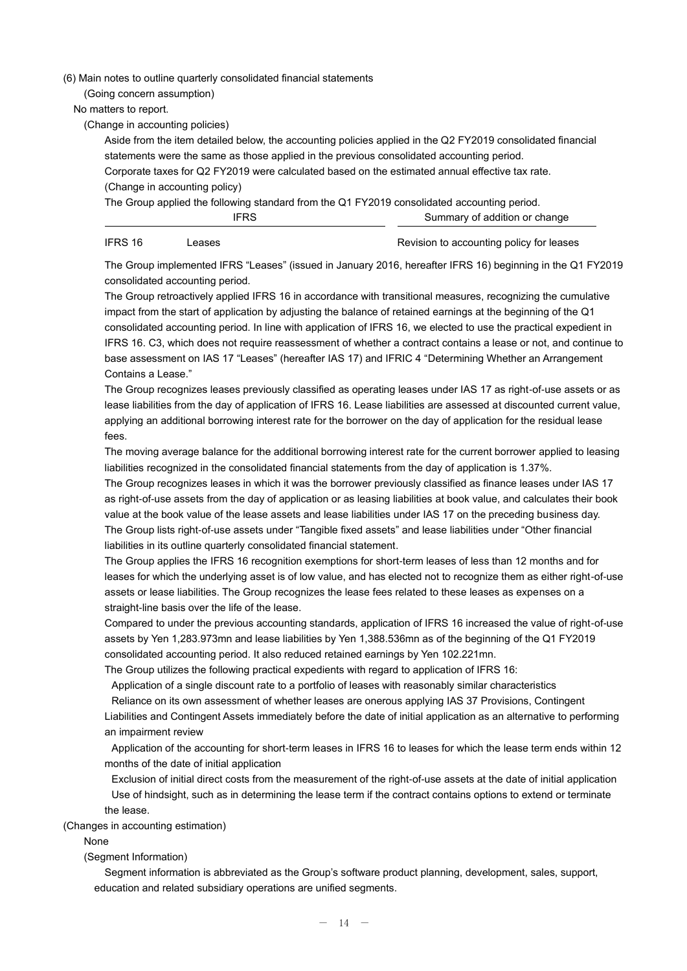(6) Main notes to outline quarterly consolidated financial statements

(Going concern assumption)

No matters to report.

(Change in accounting policies)

Aside from the item detailed below, the accounting policies applied in the Q2 FY2019 consolidated financial statements were the same as those applied in the previous consolidated accounting period. Corporate taxes for Q2 FY2019 were calculated based on the estimated annual effective tax rate. (Change in accounting policy)

The Group applied the following standard from the Q1 FY2019 consolidated accounting period. IFRS Summary of addition or change

IFRS 16 Leases Leases Revision to accounting policy for leases

The Group implemented IFRS "Leases" (issued in January 2016, hereafter IFRS 16) beginning in the Q1 FY2019 consolidated accounting period.

The Group retroactively applied IFRS 16 in accordance with transitional measures, recognizing the cumulative impact from the start of application by adjusting the balance of retained earnings at the beginning of the Q1 consolidated accounting period. In line with application of IFRS 16, we elected to use the practical expedient in IFRS 16. C3, which does not require reassessment of whether a contract contains a lease or not, and continue to base assessment on IAS 17 "Leases" (hereafter IAS 17) and IFRIC 4 "Determining Whether an Arrangement Contains a Lease."

The Group recognizes leases previously classified as operating leases under IAS 17 as right-of-use assets or as lease liabilities from the day of application of IFRS 16. Lease liabilities are assessed at discounted current value, applying an additional borrowing interest rate for the borrower on the day of application for the residual lease fees.

The moving average balance for the additional borrowing interest rate for the current borrower applied to leasing liabilities recognized in the consolidated financial statements from the day of application is 1.37%.

The Group recognizes leases in which it was the borrower previously classified as finance leases under IAS 17 as right-of-use assets from the day of application or as leasing liabilities at book value, and calculates their book value at the book value of the lease assets and lease liabilities under IAS 17 on the preceding business day. The Group lists right-of-use assets under "Tangible fixed assets" and lease liabilities under "Other financial liabilities in its outline quarterly consolidated financial statement.

The Group applies the IFRS 16 recognition exemptions for short-term leases of less than 12 months and for leases for which the underlying asset is of low value, and has elected not to recognize them as either right-of-use assets or lease liabilities. The Group recognizes the lease fees related to these leases as expenses on a straight-line basis over the life of the lease.

Compared to under the previous accounting standards, application of IFRS 16 increased the value of right-of-use assets by Yen 1,283.973mn and lease liabilities by Yen 1,388.536mn as of the beginning of the Q1 FY2019 consolidated accounting period. It also reduced retained earnings by Yen 102.221mn.

The Group utilizes the following practical expedients with regard to application of IFRS 16:

Application of a single discount rate to a portfolio of leases with reasonably similar characteristics

Reliance on its own assessment of whether leases are onerous applying IAS 37 Provisions, Contingent Liabilities and Contingent Assets immediately before the date of initial application as an alternative to performing

an impairment review

Application of the accounting for short-term leases in IFRS 16 to leases for which the lease term ends within 12 months of the date of initial application

Exclusion of initial direct costs from the measurement of the right-of-use assets at the date of initial application Use of hindsight, such as in determining the lease term if the contract contains options to extend or terminate the lease.

(Changes in accounting estimation)

None

(Segment Information)

Segment information is abbreviated as the Group's software product planning, development, sales, support, education and related subsidiary operations are unified segments.